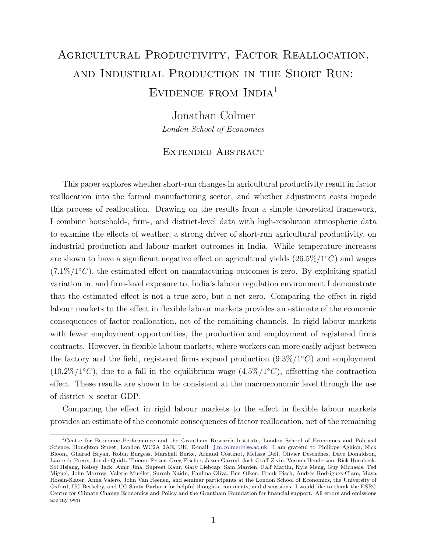## Agricultural Productivity, Factor Reallocation, and Industrial Production in the Short Run: EVIDENCE FROM INDIA<sup>1</sup>

Jonathan Colmer London School of Economics

## Extended Abstract

This paper explores whether short-run changes in agricultural productivity result in factor reallocation into the formal manufacturing sector, and whether adjustment costs impede this process of reallocation. Drawing on the results from a simple theoretical framework, I combine household-, firm-, and district-level data with high-resolution atmospheric data to examine the effects of weather, a strong driver of short-run agricultural productivity, on industrial production and labour market outcomes in India. While temperature increases are shown to have a significant negative effect on agricultural yields  $(26.5\%/1^{\circ}C)$  and wages  $(7.1\%/1^{\circ}C)$ , the estimated effect on manufacturing outcomes is zero. By exploiting spatial variation in, and firm-level exposure to, India's labour regulation environment I demonstrate that the estimated effect is not a true zero, but a net zero. Comparing the effect in rigid labour markets to the effect in flexible labour markets provides an estimate of the economic consequences of factor reallocation, net of the remaining channels. In rigid labour markets with fewer employment opportunities, the production and employment of registered firms contracts. However, in flexible labour markets, where workers can more easily adjust between the factory and the field, registered firms expand production  $(9.3\%/1^{\circ}C)$  and employment  $(10.2\%/1^{\circ}C)$ , due to a fall in the equilibrium wage  $(4.5\%/1^{\circ}C)$ , offsetting the contraction effect. These results are shown to be consistent at the macroeconomic level through the use of district  $\times$  sector GDP.

Comparing the effect in rigid labour markets to the effect in flexible labour markets provides an estimate of the economic consequences of factor reallocation, net of the remaining

<sup>&</sup>lt;sup>1</sup>Centre for Economic Performance and the Grantham Research Institute, London School of Economics and Political Science, Houghton Street, London WC2A 2AE, UK. E-mail: [j.m.colmer@lse.ac.uk.](mailto:j.m.colmer@lse.ac.uk) I am grateful to Philippe Aghion, Nick Bloom, Gharad Bryan, Robin Burgess, Marshall Burke, Arnaud Costinot, Melissa Dell, Olivier Deschênes, Dave Donaldson, Laure de Preux, Jon de Quidt, Thiemo Fetzer, Greg Fischer, Jason Garred, Josh Graff-Zivin, Vernon Henderson, Rick Hornbeck, Sol Hsiang, Kelsey Jack, Amir Jina, Supreet Kaur, Gary Liebcap, Sam Marden, Ralf Martin, Kyle Meng, Guy Michaels, Ted Miguel, John Morrow, Valerie Mueller, Suresh Naidu, Paulina Oliva, Ben Olken, Frank Pisch, Andres Rodriguez-Clare, Maya Rossin-Slater, Anna Valero, John Van Reenen, and seminar participants at the London School of Economics, the University of Oxford, UC Berkeley, and UC Santa Barbara for helpful thoughts, comments, and discussions. I would like to thank the ESRC Centre for Climate Change Economics and Policy and the Grantham Foundation for financial support. All errors and omissions are my own.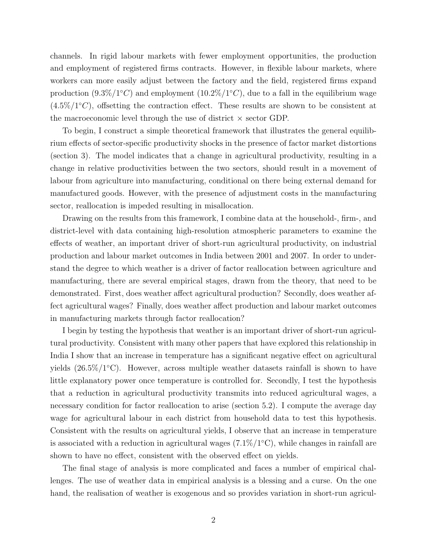channels. In rigid labour markets with fewer employment opportunities, the production and employment of registered firms contracts. However, in flexible labour markets, where workers can more easily adjust between the factory and the field, registered firms expand production  $(9.3\%/1^{\circ}C)$  and employment  $(10.2\%/1^{\circ}C)$ , due to a fall in the equilibrium wage  $(4.5\%/1^{\circ}C)$ , offsetting the contraction effect. These results are shown to be consistent at the macroeconomic level through the use of district  $\times$  sector GDP.

To begin, I construct a simple theoretical framework that illustrates the general equilibrium effects of sector-specific productivity shocks in the presence of factor market distortions (section 3). The model indicates that a change in agricultural productivity, resulting in a change in relative productivities between the two sectors, should result in a movement of labour from agriculture into manufacturing, conditional on there being external demand for manufactured goods. However, with the presence of adjustment costs in the manufacturing sector, reallocation is impeded resulting in misallocation.

Drawing on the results from this framework, I combine data at the household-, firm-, and district-level with data containing high-resolution atmospheric parameters to examine the effects of weather, an important driver of short-run agricultural productivity, on industrial production and labour market outcomes in India between 2001 and 2007. In order to understand the degree to which weather is a driver of factor reallocation between agriculture and manufacturing, there are several empirical stages, drawn from the theory, that need to be demonstrated. First, does weather affect agricultural production? Secondly, does weather affect agricultural wages? Finally, does weather affect production and labour market outcomes in manufacturing markets through factor reallocation?

I begin by testing the hypothesis that weather is an important driver of short-run agricultural productivity. Consistent with many other papers that have explored this relationship in India I show that an increase in temperature has a significant negative effect on agricultural yields  $(26.5\%/1^{\circ}C)$ . However, across multiple weather datasets rainfall is shown to have little explanatory power once temperature is controlled for. Secondly, I test the hypothesis that a reduction in agricultural productivity transmits into reduced agricultural wages, a necessary condition for factor reallocation to arise (section 5.2). I compute the average day wage for agricultural labour in each district from household data to test this hypothesis. Consistent with the results on agricultural yields, I observe that an increase in temperature is associated with a reduction in agricultural wages  $(7.1\%/1^{\circ}C)$ , while changes in rainfall are shown to have no effect, consistent with the observed effect on yields.

The final stage of analysis is more complicated and faces a number of empirical challenges. The use of weather data in empirical analysis is a blessing and a curse. On the one hand, the realisation of weather is exogenous and so provides variation in short-run agricul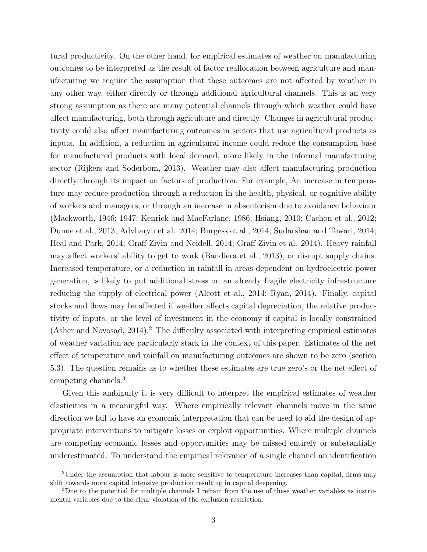tural productivity. On the other hand, for empirical estimates of weather on manufacturing outcomes to be interpreted as the result of factor reallocation between agriculture and manufacturing we require the assumption that these outcomes are not affected by weather in any other way, either directly or through additional agricultural channels. This is an very strong assumption as there are many potential channels through which weather could have affect manufacturing, both through agriculture and directly. Changes in agricultural productivity could also affect manufacturing outcomes in sectors that use agricultural products as inputs. In addition, a reduction in agricultural income could reduce the consumption base for manufactured products with local demand, more likely in the informal manufacturing sector (Rijkers and Soderbom, 2013). Weather may also affect manufacturing production directly through its impact on factors of production. For example, An increase in temperature may reduce production through a reduction in the health, physical, or cognitive ability of workers and managers, or through an increase in absenteeism due to avoidance behaviour (Mackworth, 1946; 1947; Kenrick and MacFarlane, 1986; Hsiang, 2010; Cachon et al., 2012; Dunne et al., 2013; Advharyu et al. 2014; Burgess et al., 2014; Sudarshan and Tewari, 2014; Heal and Park, 2014; Graff Zivin and Neidell, 2014; Graff Zivin et al. 2014). Heavy rainfall may affect workers' ability to get to work (Bandiera et al., 2013), or disrupt supply chains. Increased temperature, or a reduction in rainfall in areas dependent on hydroelectric power generation, is likely to put additional stress on an already fragile electricity infrastructure reducing the supply of electrical power (Alcott et al., 2014; Ryan, 2014). Finally, capital stocks and flows may be affected if weather affects capital depreciation, the relative productivity of inputs, or the level of investment in the economy if capital is locally constrained (Asher and Novosad,  $2014$ ).<sup>2</sup> The difficulty associated with interpreting empirical estimates of weather variation are particularly stark in the context of this paper. Estimates of the net effect of temperature and rainfall on manufacturing outcomes are shown to be zero (section 5.3). The question remains as to whether these estimates are true zero's or the net effect of competing channels.<sup>3</sup>

Given this ambiguity it is very difficult to interpret the empirical estimates of weather elasticities in a meaningful way. Where empirically relevant channels move in the same direction we fail to have an economic interpretation that can be used to aid the design of appropriate interventions to mitigate losses or exploit opportunities. Where multiple channels are competing economic losses and opportunities may be missed entirely or substantially underestimated. To understand the empirical relevance of a single channel an identification

<sup>&</sup>lt;sup>2</sup>Under the assumption that labour is more sensitive to temperature increases than capital, firms may shift towards more capital intensive production resulting in capital deepening.

<sup>3</sup>Due to the potential for multiple channels I refrain from the use of these weather variables as instrumental variables due to the clear violation of the exclusion restriction.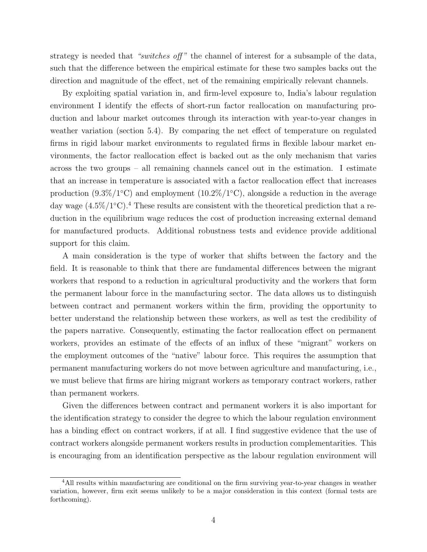strategy is needed that "switches off" the channel of interest for a subsample of the data, such that the difference between the empirical estimate for these two samples backs out the direction and magnitude of the effect, net of the remaining empirically relevant channels.

By exploiting spatial variation in, and firm-level exposure to, India's labour regulation environment I identify the effects of short-run factor reallocation on manufacturing production and labour market outcomes through its interaction with year-to-year changes in weather variation (section 5.4). By comparing the net effect of temperature on regulated firms in rigid labour market environments to regulated firms in flexible labour market environments, the factor reallocation effect is backed out as the only mechanism that varies across the two groups – all remaining channels cancel out in the estimation. I estimate that an increase in temperature is associated with a factor reallocation effect that increases production  $(9.3\%/1^{\circ}\text{C})$  and employment  $(10.2\%/1^{\circ}\text{C})$ , alongside a reduction in the average day wage  $(4.5\%/1^{\circ}\text{C})$ .<sup>4</sup> These results are consistent with the theoretical prediction that a reduction in the equilibrium wage reduces the cost of production increasing external demand for manufactured products. Additional robustness tests and evidence provide additional support for this claim.

A main consideration is the type of worker that shifts between the factory and the field. It is reasonable to think that there are fundamental differences between the migrant workers that respond to a reduction in agricultural productivity and the workers that form the permanent labour force in the manufacturing sector. The data allows us to distinguish between contract and permanent workers within the firm, providing the opportunity to better understand the relationship between these workers, as well as test the credibility of the papers narrative. Consequently, estimating the factor reallocation effect on permanent workers, provides an estimate of the effects of an influx of these "migrant" workers on the employment outcomes of the "native" labour force. This requires the assumption that permanent manufacturing workers do not move between agriculture and manufacturing, i.e., we must believe that firms are hiring migrant workers as temporary contract workers, rather than permanent workers.

Given the differences between contract and permanent workers it is also important for the identification strategy to consider the degree to which the labour regulation environment has a binding effect on contract workers, if at all. I find suggestive evidence that the use of contract workers alongside permanent workers results in production complementarities. This is encouraging from an identification perspective as the labour regulation environment will

<sup>4</sup>All results within manufacturing are conditional on the firm surviving year-to-year changes in weather variation, however, firm exit seems unlikely to be a major consideration in this context (formal tests are forthcoming).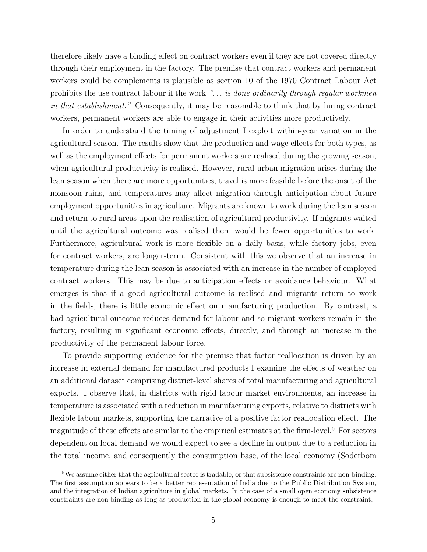therefore likely have a binding effect on contract workers even if they are not covered directly through their employment in the factory. The premise that contract workers and permanent workers could be complements is plausible as section 10 of the 1970 Contract Labour Act prohibits the use contract labour if the work ". . . is done ordinarily through regular workmen in that establishment." Consequently, it may be reasonable to think that by hiring contract workers, permanent workers are able to engage in their activities more productively.

In order to understand the timing of adjustment I exploit within-year variation in the agricultural season. The results show that the production and wage effects for both types, as well as the employment effects for permanent workers are realised during the growing season, when agricultural productivity is realised. However, rural-urban migration arises during the lean season when there are more opportunities, travel is more feasible before the onset of the monsoon rains, and temperatures may affect migration through anticipation about future employment opportunities in agriculture. Migrants are known to work during the lean season and return to rural areas upon the realisation of agricultural productivity. If migrants waited until the agricultural outcome was realised there would be fewer opportunities to work. Furthermore, agricultural work is more flexible on a daily basis, while factory jobs, even for contract workers, are longer-term. Consistent with this we observe that an increase in temperature during the lean season is associated with an increase in the number of employed contract workers. This may be due to anticipation effects or avoidance behaviour. What emerges is that if a good agricultural outcome is realised and migrants return to work in the fields, there is little economic effect on manufacturing production. By contrast, a bad agricultural outcome reduces demand for labour and so migrant workers remain in the factory, resulting in significant economic effects, directly, and through an increase in the productivity of the permanent labour force.

To provide supporting evidence for the premise that factor reallocation is driven by an increase in external demand for manufactured products I examine the effects of weather on an additional dataset comprising district-level shares of total manufacturing and agricultural exports. I observe that, in districts with rigid labour market environments, an increase in temperature is associated with a reduction in manufacturing exports, relative to districts with flexible labour markets, supporting the narrative of a positive factor reallocation effect. The magnitude of these effects are similar to the empirical estimates at the firm-level.<sup>5</sup> For sectors dependent on local demand we would expect to see a decline in output due to a reduction in the total income, and consequently the consumption base, of the local economy (Soderbom

<sup>5</sup>We assume either that the agricultural sector is tradable, or that subsistence constraints are non-binding. The first assumption appears to be a better representation of India due to the Public Distribution System, and the integration of Indian agriculture in global markets. In the case of a small open economy subsistence constraints are non-binding as long as production in the global economy is enough to meet the constraint.